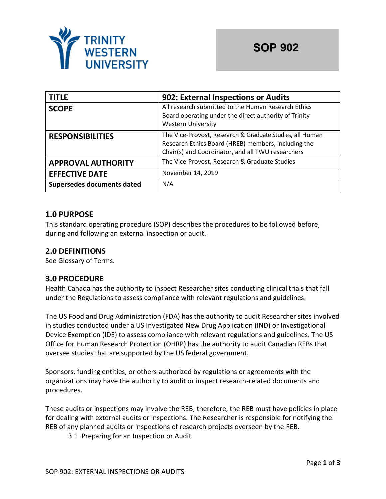

| <b>TITLE</b>               | 902: External Inspections or Audits                                                                                                                                  |  |
|----------------------------|----------------------------------------------------------------------------------------------------------------------------------------------------------------------|--|
| <b>SCOPE</b>               | All research submitted to the Human Research Ethics<br>Board operating under the direct authority of Trinity<br><b>Western University</b>                            |  |
| <b>RESPONSIBILITIES</b>    | The Vice-Provost, Research & Graduate Studies, all Human<br>Research Ethics Board (HREB) members, including the<br>Chair(s) and Coordinator, and all TWU researchers |  |
| <b>APPROVAL AUTHORITY</b>  | The Vice-Provost, Research & Graduate Studies                                                                                                                        |  |
| <b>EFFECTIVE DATE</b>      | November 14, 2019                                                                                                                                                    |  |
| Supersedes documents dated | N/A                                                                                                                                                                  |  |

# **1.0 PURPOSE**

This standard operating procedure (SOP) describes the procedures to be followed before, during and following an external inspection or audit.

## **2.0 DEFINITIONS**

See Glossary of Terms.

### **3.0 PROCEDURE**

Health Canada has the authority to inspect Researcher sites conducting clinical trials that fall under the Regulations to assess compliance with relevant regulations and guidelines.

The US Food and Drug Administration (FDA) has the authority to audit Researcher sites involved in studies conducted under a US Investigated New Drug Application (IND) or Investigational Device Exemption (IDE) to assess compliance with relevant regulations and guidelines. The US Office for Human Research Protection (OHRP) has the authority to audit Canadian REBs that oversee studies that are supported by the US federal government.

Sponsors, funding entities, or others authorized by regulations or agreements with the organizations may have the authority to audit or inspect research-related documents and procedures.

These audits or inspections may involve the REB; therefore, the REB must have policies in place for dealing with external audits or inspections. The Researcher is responsible for notifying the REB of any planned audits or inspections of research projects overseen by the REB.

3.1 Preparing for an Inspection or Audit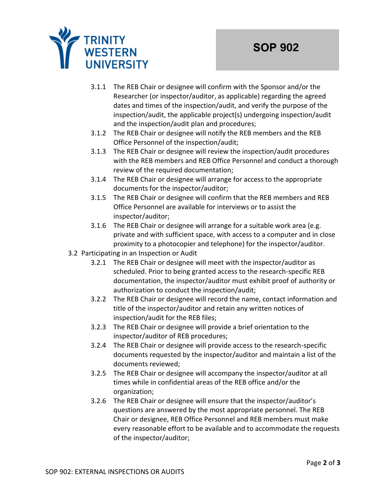

- 3.1.1 The REB Chair or designee will confirm with the Sponsor and/or the Researcher (or inspector/auditor, as applicable) regarding the agreed dates and times of the inspection/audit, and verify the purpose of the inspection/audit, the applicable project(s) undergoing inspection/audit and the inspection/audit plan and procedures;
- 3.1.2 The REB Chair or designee will notify the REB members and the REB Office Personnel of the inspection/audit;
- 3.1.3 The REB Chair or designee will review the inspection/audit procedures with the REB members and REB Office Personnel and conduct a thorough review of the required documentation;
- 3.1.4 The REB Chair or designee will arrange for access to the appropriate documents for the inspector/auditor;
- 3.1.5 The REB Chair or designee will confirm that the REB members and REB Office Personnel are available for interviews or to assist the inspector/auditor;
- 3.1.6 The REB Chair or designee will arrange for a suitable work area (e.g. private and with sufficient space, with access to a computer and in close proximity to a photocopier and telephone) for the inspector/auditor.
- 3.2 Participating in an Inspection or Audit
	- 3.2.1 The REB Chair or designee will meet with the inspector/auditor as scheduled. Prior to being granted access to the research-specific REB documentation, the inspector/auditor must exhibit proof of authority or authorization to conduct the inspection/audit;
	- 3.2.2 The REB Chair or designee will record the name, contact information and title of the inspector/auditor and retain any written notices of inspection/audit for the REB files;
	- 3.2.3 The REB Chair or designee will provide a brief orientation to the inspector/auditor of REB procedures;
	- 3.2.4 The REB Chair or designee will provide access to the research-specific documents requested by the inspector/auditor and maintain a list of the documents reviewed;
	- 3.2.5 The REB Chair or designee will accompany the inspector/auditor at all times while in confidential areas of the REB office and/or the organization;
	- 3.2.6 The REB Chair or designee will ensure that the inspector/auditor's questions are answered by the most appropriate personnel. The REB Chair or designee, REB Office Personnel and REB members must make every reasonable effort to be available and to accommodate the requests of the inspector/auditor;